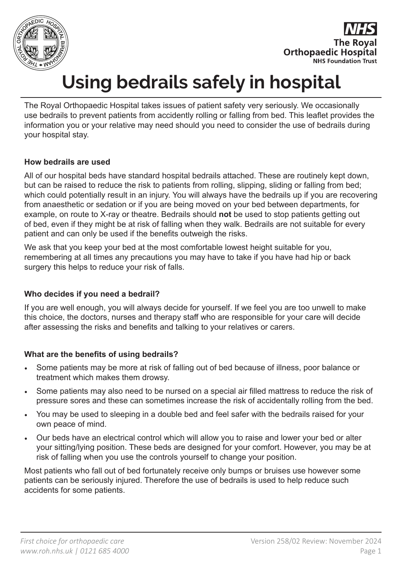

**The Roval Orthopaedic Hospital NHS Foundation Trust** 

# **Using bedrails safely in hospital**

The Royal Orthopaedic Hospital takes issues of patient safety very seriously. We occasionally use bedrails to prevent patients from accidently rolling or falling from bed. This leaflet provides the information you or your relative may need should you need to consider the use of bedrails during your hospital stay.

## **How bedrails are used**

All of our hospital beds have standard hospital bedrails attached. These are routinely kept down, but can be raised to reduce the risk to patients from rolling, slipping, sliding or falling from bed; which could potentially result in an injury. You will always have the bedrails up if you are recovering from anaesthetic or sedation or if you are being moved on your bed between departments, for example, on route to X-ray or theatre. Bedrails should **not** be used to stop patients getting out of bed, even if they might be at risk of falling when they walk. Bedrails are not suitable for every patient and can only be used if the benefits outweigh the risks.

We ask that you keep your bed at the most comfortable lowest height suitable for you, remembering at all times any precautions you may have to take if you have had hip or back surgery this helps to reduce your risk of falls.

## **Who decides if you need a bedrail?**

If you are well enough, you will always decide for yourself. If we feel you are too unwell to make this choice, the doctors, nurses and therapy staff who are responsible for your care will decide after assessing the risks and benefits and talking to your relatives or carers.

## **What are the benefits of using bedrails?**

- Some patients may be more at risk of falling out of bed because of illness, poor balance or treatment which makes them drowsy.
- Some patients may also need to be nursed on a special air filled mattress to reduce the risk of pressure sores and these can sometimes increase the risk of accidentally rolling from the bed.
- You may be used to sleeping in a double bed and feel safer with the bedrails raised for your own peace of mind.
- Our beds have an electrical control which will allow you to raise and lower your bed or alter your sitting/lying position. These beds are designed for your comfort. However, you may be at risk of falling when you use the controls yourself to change your position.

Most patients who fall out of bed fortunately receive only bumps or bruises use however some patients can be seriously injured. Therefore the use of bedrails is used to help reduce such accidents for some patients.